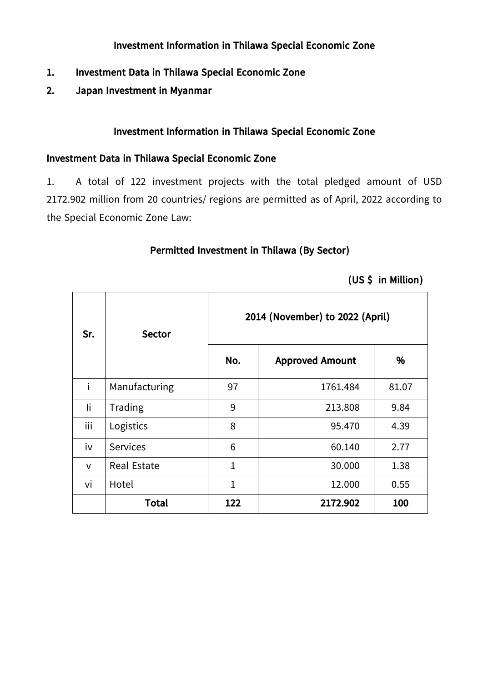#### **Investment Information in Thilawa Special Economic Zone**

- **1. Investment Data in Thilawa Special Economic Zone**
- **2. Japan Investment in Myanmar**

### **Investment Information in Thilawa Special Economic Zone**

#### **Investment Data in Thilawa Special Economic Zone**

1. A total of 122 investment projects with the total pledged amount of USD 2172.902 million from 20 countries/ regions are permitted as of April, 2022 according to the Special Economic Zone Law:

#### **Permitted Investment in Thilawa (By Sector)**

 $\top$ 

|  | (US \$ in Million) |
|--|--------------------|
|  |                    |

| Sr.          | <b>Sector</b>      |              | 2014 (November) to 2022 (April) |       |  |
|--------------|--------------------|--------------|---------------------------------|-------|--|
|              |                    | No.          | <b>Approved Amount</b>          | %     |  |
| i            | Manufacturing      | 97           | 1761.484                        | 81.07 |  |
| li           | Trading            | 9            | 213.808                         | 9.84  |  |
| iii          | Logistics          | 8            | 95.470                          | 4.39  |  |
| iv           | <b>Services</b>    | 6            | 60.140                          | 2.77  |  |
| $\mathsf{V}$ | <b>Real Estate</b> | $\mathbf{1}$ | 30.000                          | 1.38  |  |
| vi           | Hotel              | $\mathbf{1}$ | 12.000                          | 0.55  |  |
|              | <b>Total</b>       | 122          | 2172.902                        | 100   |  |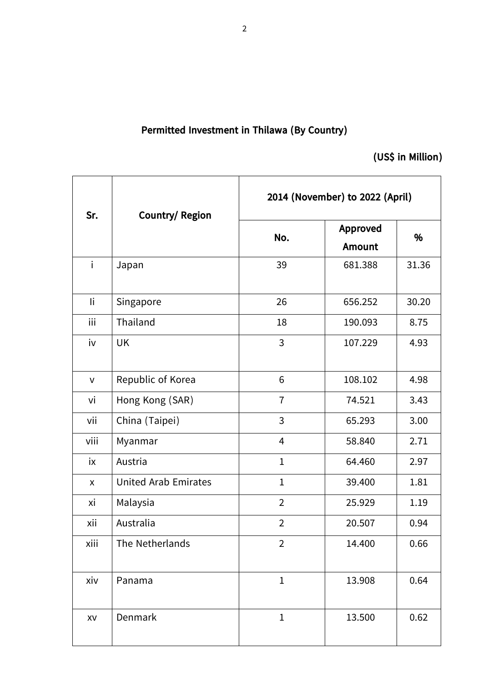## **Permitted Investment in Thilawa (By Country)**

**(US\$ in Million)**

| Sr.          | <b>Country/ Region</b>      | 2014 (November) to 2022 (April) |                                  |       |  |
|--------------|-----------------------------|---------------------------------|----------------------------------|-------|--|
|              | No.                         |                                 | <b>Approved</b><br><b>Amount</b> | %     |  |
| $\mathbf{i}$ | Japan                       | 39                              | 681.388                          | 31.36 |  |
| li           | Singapore                   | 26                              | 656.252                          | 30.20 |  |
| iii          | Thailand                    | 18                              | 190.093                          | 8.75  |  |
| iv           | <b>UK</b>                   | 3                               | 107.229                          | 4.93  |  |
| $\mathsf{V}$ | Republic of Korea           | 6                               | 108.102                          | 4.98  |  |
| vi           | Hong Kong (SAR)             | $\overline{1}$                  | 74.521                           | 3.43  |  |
| vii          | China (Taipei)              | 3                               | 65.293                           | 3.00  |  |
| viii         | Myanmar                     | 4                               | 58.840                           | 2.71  |  |
| ix           | Austria                     | $\mathbf{1}$                    | 64.460                           | 2.97  |  |
| X            | <b>United Arab Emirates</b> | $\mathbf 1$                     | 39.400                           | 1.81  |  |
| хi           | Malaysia                    | $\overline{2}$                  | 25.929                           | 1.19  |  |
| xii          | Australia                   | $\overline{2}$                  | 20.507                           | 0.94  |  |
| xiii         | The Netherlands             | $\overline{2}$                  | 14.400                           | 0.66  |  |
| xiv          | Panama                      | $\mathbf 1$                     | 13.908                           | 0.64  |  |
| XV           | Denmark                     | $\mathbf 1$                     | 13.500                           | 0.62  |  |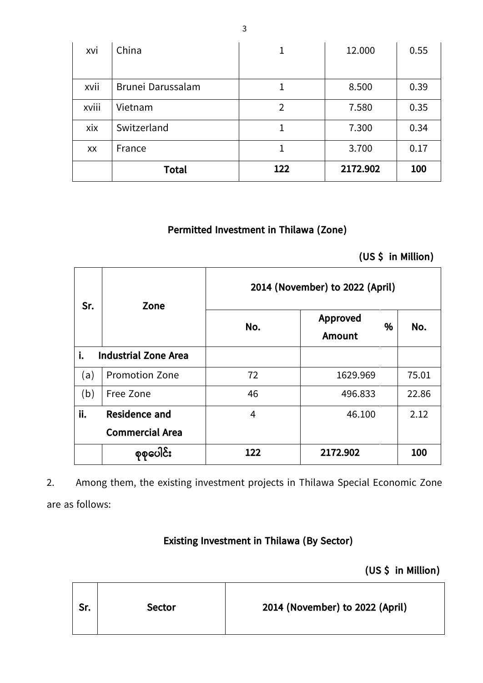| xvi   | China             | 1              | 12.000   | 0.55 |
|-------|-------------------|----------------|----------|------|
| xvii  | Brunei Darussalam | 1              | 8.500    | 0.39 |
| xviii | Vietnam           | $\overline{2}$ | 7.580    | 0.35 |
| xix   | Switzerland       |                | 7.300    | 0.34 |
| XX    | France            | 1              | 3.700    | 0.17 |
|       | <b>Total</b>      | 122            | 2172.902 | 100  |

### **Permitted Investment in Thilawa (Zone)**

**(US \$ in Million)**

| Sr. | Zone                        | 2014 (November) to 2022 (April) |                                |       |  |  |  |
|-----|-----------------------------|---------------------------------|--------------------------------|-------|--|--|--|
|     |                             | No.                             | Approved<br>%<br><b>Amount</b> | No.   |  |  |  |
| i.  | <b>Industrial Zone Area</b> |                                 |                                |       |  |  |  |
| (a) | <b>Promotion Zone</b>       | 72                              | 1629.969                       | 75.01 |  |  |  |
| (b) | Free Zone                   | 46                              | 22.86<br>496.833               |       |  |  |  |
| ii. | <b>Residence and</b>        | 4                               | 46.100                         | 2.12  |  |  |  |
|     | <b>Commercial Area</b>      |                                 |                                |       |  |  |  |
|     | စုစုပေါင်း                  | 122                             | 2172.902                       | 100   |  |  |  |

2. Among them, the existing investment projects in Thilawa Special Economic Zone are as follows:

**Existing Investment in Thilawa (By Sector)**

**(US \$ in Million)**

| 2014 (November) to 2022 (April)<br>Sr.<br><b>Sector</b> |  |
|---------------------------------------------------------|--|
|---------------------------------------------------------|--|

3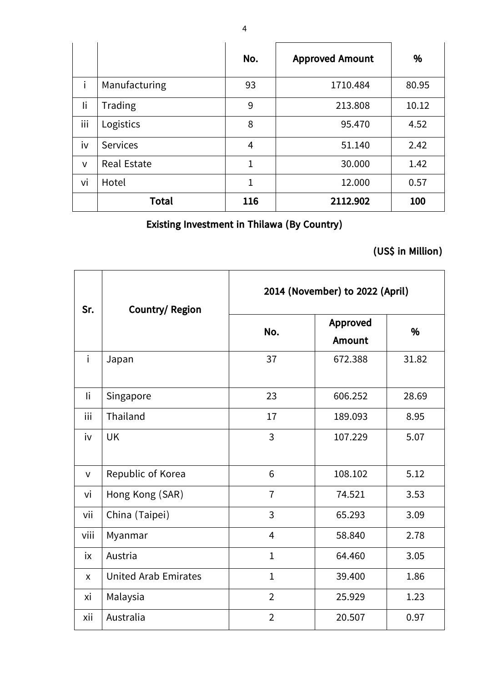|              |                    | No. | <b>Approved Amount</b> | %     |
|--------------|--------------------|-----|------------------------|-------|
| i            | Manufacturing      | 93  | 1710.484               | 80.95 |
| li           | Trading            | 9   | 213.808                | 10.12 |
| iii          | Logistics          | 8   | 95.470                 | 4.52  |
| iv           | <b>Services</b>    | 4   | 51.140                 | 2.42  |
| $\mathsf{V}$ | <b>Real Estate</b> | 1   | 30.000                 | 1.42  |
| vi           | Hotel              | 1   | 12.000                 | 0.57  |
|              | <b>Total</b>       | 116 | 2112.902               | 100   |

## **Existing Investment in Thilawa (By Country)**

## **(US\$ in Million)**

| Sr.          | <b>Country/ Region</b>      | 2014 (November) to 2022 (April) |                           |       |  |  |
|--------------|-----------------------------|---------------------------------|---------------------------|-------|--|--|
|              |                             | No.                             | Approved<br><b>Amount</b> | %     |  |  |
| i.           | Japan                       | 37                              | 672.388                   | 31.82 |  |  |
| li           | Singapore                   | 23                              | 606.252                   | 28.69 |  |  |
| iii          | Thailand                    | 17                              | 189.093                   | 8.95  |  |  |
| iv           | <b>UK</b>                   | $\overline{3}$                  | 107.229                   | 5.07  |  |  |
| $\mathsf{V}$ | Republic of Korea           | 6                               | 108.102                   | 5.12  |  |  |
| vi           | Hong Kong (SAR)             | $\overline{7}$                  | 74.521                    | 3.53  |  |  |
| vii          | China (Taipei)              | 3                               | 65.293                    | 3.09  |  |  |
| viii         | Myanmar                     | $\overline{4}$                  | 58.840                    | 2.78  |  |  |
| iх           | Austria                     | $\mathbf 1$                     | 64.460                    | 3.05  |  |  |
| $\mathsf{x}$ | <b>United Arab Emirates</b> | $\mathbf{1}$                    | 39.400                    | 1.86  |  |  |
| хi           | Malaysia                    | $\overline{2}$                  | 25.929                    | 1.23  |  |  |
| xii          | Australia                   | $\overline{2}$                  | 20.507                    | 0.97  |  |  |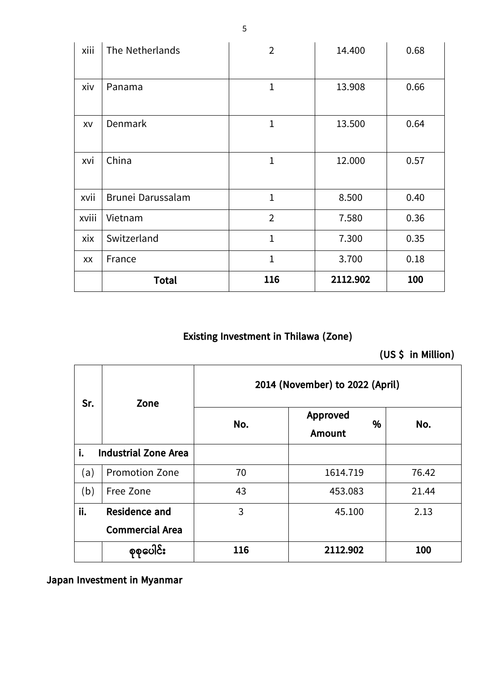| xiii  | The Netherlands   | $\overline{2}$ | 14.400   | 0.68 |
|-------|-------------------|----------------|----------|------|
|       |                   |                |          |      |
| xiv   | Panama            | $\mathbf 1$    | 13.908   | 0.66 |
|       |                   |                |          |      |
| XV    | Denmark           | $\mathbf{1}$   | 13.500   | 0.64 |
|       |                   |                |          |      |
| xvi   | China             | $\mathbf 1$    | 12.000   | 0.57 |
|       |                   |                |          |      |
| xvii  | Brunei Darussalam | $\mathbf{1}$   | 8.500    | 0.40 |
| xviii | Vietnam           | $\overline{2}$ | 7.580    | 0.36 |
| xix   | Switzerland       | $\mathbf{1}$   | 7.300    | 0.35 |
| XX    | France            | $\mathbf{1}$   | 3.700    | 0.18 |
|       | <b>Total</b>      | 116            | 2112.902 | 100  |

# **Existing Investment in Thilawa (Zone)**

**(US \$ in Million)**

| Sr. | Zone                                           |     | 2014 (November) to 2022 (April)       |       |  |
|-----|------------------------------------------------|-----|---------------------------------------|-------|--|
|     |                                                | No. | <b>Approved</b><br>%<br><b>Amount</b> | No.   |  |
| i.  | <b>Industrial Zone Area</b>                    |     |                                       |       |  |
| (a) | <b>Promotion Zone</b>                          | 70  | 1614.719                              | 76.42 |  |
| (b) | Free Zone                                      | 43  | 453.083                               | 21.44 |  |
| ii. | <b>Residence and</b><br><b>Commercial Area</b> | 3   | 45.100                                | 2.13  |  |
|     | စုစုပေါင်း                                     | 116 | 2112.902                              | 100   |  |

**Japan Investment in Myanmar**

5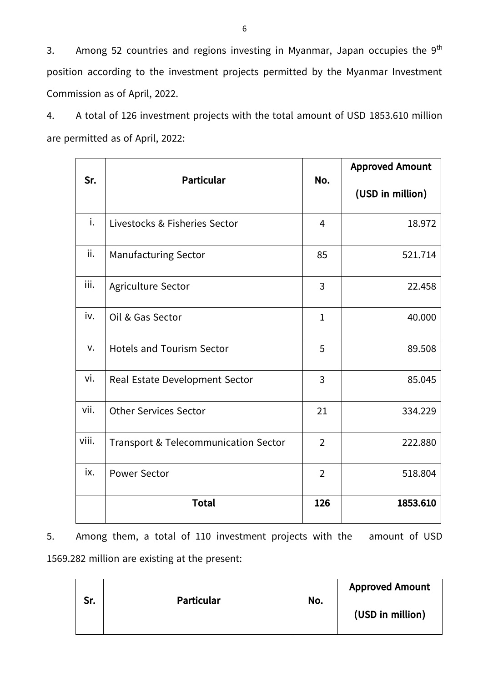3. Among 52 countries and regions investing in Myanmar, Japan occupies the  $9^{\text{th}}$ position according to the investment projects permitted by the Myanmar Investment Commission as of April, 2022.

4. A total of 126 investment projects with the total amount of USD 1853.610 million are permitted as of April, 2022:

| Sr.   | <b>Particular</b>                    | No.            | <b>Approved Amount</b><br>(USD in million) |
|-------|--------------------------------------|----------------|--------------------------------------------|
| i.    | Livestocks & Fisheries Sector        | $\overline{4}$ | 18.972                                     |
| ii.   | <b>Manufacturing Sector</b>          | 85             | 521.714                                    |
| iii.  | Agriculture Sector                   | 3              | 22.458                                     |
| iv.   | Oil & Gas Sector                     | $\mathbf{1}$   | 40.000                                     |
| v.    | <b>Hotels and Tourism Sector</b>     | 5              | 89.508                                     |
| vi.   | Real Estate Development Sector       | 3              | 85.045                                     |
| vii.  | <b>Other Services Sector</b>         | 21             | 334.229                                    |
| viii. | Transport & Telecommunication Sector | $\overline{2}$ | 222.880                                    |
| ix.   | <b>Power Sector</b>                  | $\overline{2}$ | 518.804                                    |
|       | <b>Total</b>                         | 126            | 1853.610                                   |

5. Among them, a total of 110 investment projects with the amount of USD 1569.282 million are existing at the present:

| Sr. | <b>Particular</b> | No. | <b>Approved Amount</b><br>(USD in million) |
|-----|-------------------|-----|--------------------------------------------|
|-----|-------------------|-----|--------------------------------------------|

6